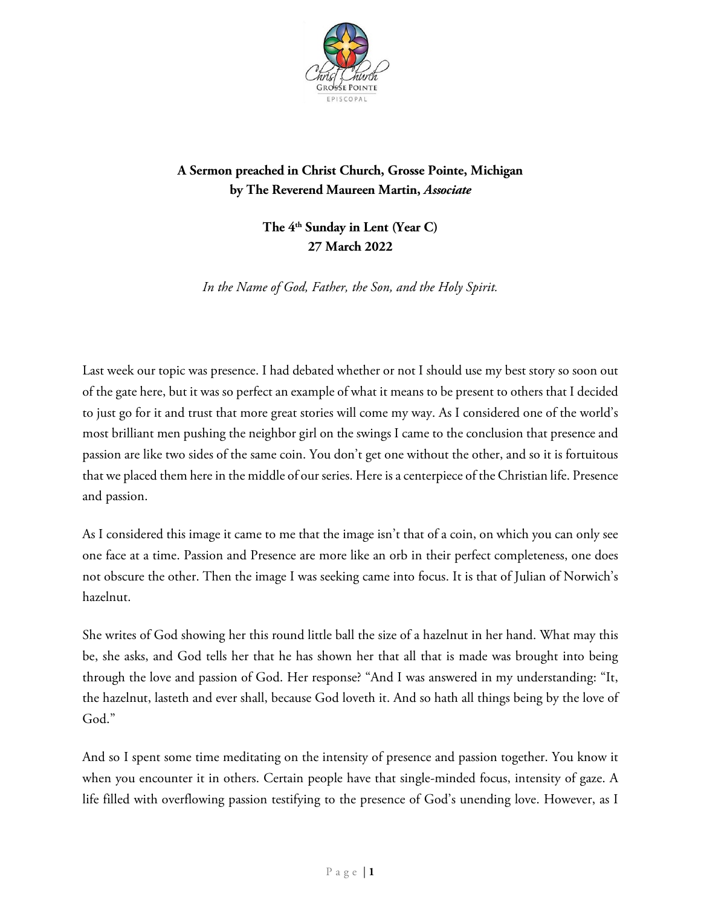

## **A Sermon preached in Christ Church, Grosse Pointe, Michigan by The Reverend Maureen Martin,** *Associate*

**The 4th Sunday in Lent (Year C) 27 March 2022**

*In the Name of God, Father, the Son, and the Holy Spirit.*

Last week our topic was presence. I had debated whether or not I should use my best story so soon out of the gate here, but it was so perfect an example of what it means to be present to others that I decided to just go for it and trust that more great stories will come my way. As I considered one of the world's most brilliant men pushing the neighbor girl on the swings I came to the conclusion that presence and passion are like two sides of the same coin. You don't get one without the other, and so it is fortuitous that we placed them here in the middle of our series. Here is a centerpiece of the Christian life. Presence and passion.

As I considered this image it came to me that the image isn't that of a coin, on which you can only see one face at a time. Passion and Presence are more like an orb in their perfect completeness, one does not obscure the other. Then the image I was seeking came into focus. It is that of Julian of Norwich's hazelnut.

She writes of God showing her this round little ball the size of a hazelnut in her hand. What may this be, she asks, and God tells her that he has shown her that all that is made was brought into being through the love and passion of God. Her response? "And I was answered in my understanding: "It, the hazelnut, lasteth and ever shall, because God loveth it. And so hath all things being by the love of God."

And so I spent some time meditating on the intensity of presence and passion together. You know it when you encounter it in others. Certain people have that single-minded focus, intensity of gaze. A life filled with overflowing passion testifying to the presence of God's unending love. However, as I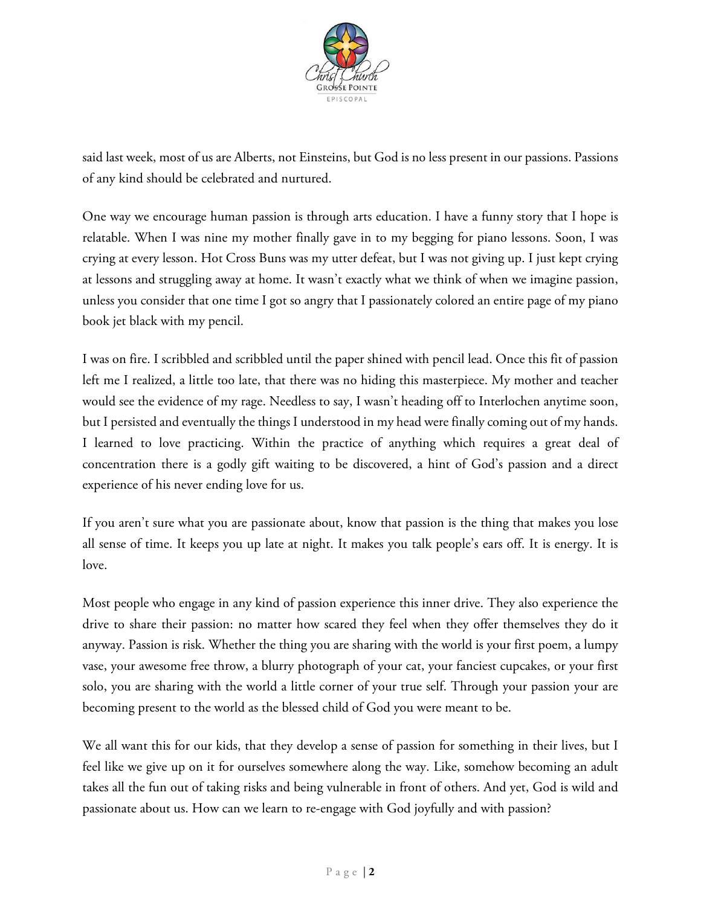

said last week, most of us are Alberts, not Einsteins, but God is no less present in our passions. Passions of any kind should be celebrated and nurtured.

One way we encourage human passion is through arts education. I have a funny story that I hope is relatable. When I was nine my mother finally gave in to my begging for piano lessons. Soon, I was crying at every lesson. Hot Cross Buns was my utter defeat, but I was not giving up. I just kept crying at lessons and struggling away at home. It wasn't exactly what we think of when we imagine passion, unless you consider that one time I got so angry that I passionately colored an entire page of my piano book jet black with my pencil.

I was on fire. I scribbled and scribbled until the paper shined with pencil lead. Once this fit of passion left me I realized, a little too late, that there was no hiding this masterpiece. My mother and teacher would see the evidence of my rage. Needless to say, I wasn't heading off to Interlochen anytime soon, but I persisted and eventually the things I understood in my head were finally coming out of my hands. I learned to love practicing. Within the practice of anything which requires a great deal of concentration there is a godly gift waiting to be discovered, a hint of God's passion and a direct experience of his never ending love for us.

If you aren't sure what you are passionate about, know that passion is the thing that makes you lose all sense of time. It keeps you up late at night. It makes you talk people's ears off. It is energy. It is love.

Most people who engage in any kind of passion experience this inner drive. They also experience the drive to share their passion: no matter how scared they feel when they offer themselves they do it anyway. Passion is risk. Whether the thing you are sharing with the world is your first poem, a lumpy vase, your awesome free throw, a blurry photograph of your cat, your fanciest cupcakes, or your first solo, you are sharing with the world a little corner of your true self. Through your passion your are becoming present to the world as the blessed child of God you were meant to be.

We all want this for our kids, that they develop a sense of passion for something in their lives, but I feel like we give up on it for ourselves somewhere along the way. Like, somehow becoming an adult takes all the fun out of taking risks and being vulnerable in front of others. And yet, God is wild and passionate about us. How can we learn to re-engage with God joyfully and with passion?